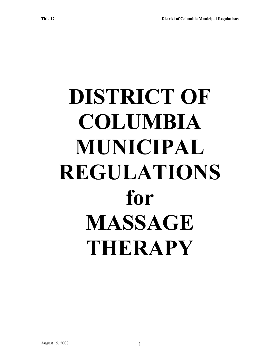# **DISTRICT OF COLUMBIA MUNICIPAL REGULATIONS for MASSAGE THERAPY**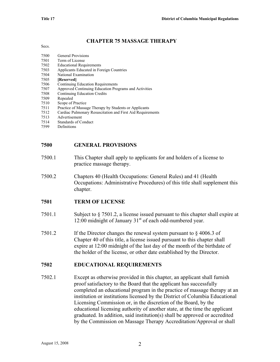#### **CHAPTER 75 MASSAGE THERAPY**

| <b>General Provisions</b>                                  |
|------------------------------------------------------------|
| Term of License                                            |
| <b>Educational Requirements</b>                            |
| Applicants Educated in Foreign Countries                   |
| National Examination                                       |
| [Reserved]                                                 |
| Continuing Education Requirements                          |
| Approved Continuing Education Programs and Activities      |
| <b>Continuing Education Credits</b>                        |
| Repealed                                                   |
| Scope of Practice                                          |
| Practice of Massage Therapy by Students or Applicants      |
| Cardiac Pulmonary Resuscitation and First Aid Requirements |
| Advertisement                                              |
| <b>Standards of Conduct</b>                                |
|                                                            |

7599 Definitions

#### **7500 GENERAL PROVISIONS**

- 7500.1 This Chapter shall apply to applicants for and holders of a license to practice massage therapy.
- 7500.2 Chapters 40 (Health Occupations: General Rules) and 41 (Health Occupations: Administrative Procedures) of this title shall supplement this chapter.

#### **7501 TERM OF LICENSE**

- 7501.1 Subject to § 7501.2, a license issued pursuant to this chapter shall expire at 12:00 midnight of January  $31<sup>st</sup>$  of each odd-numbered year.
- 7501.2 If the Director changes the renewal system pursuant to § 4006.3 of Chapter 40 of this title, a license issued pursuant to this chapter shall expire at 12:00 midnight of the last day of the month of the birthdate of the holder of the license, or other date established by the Director.

#### **7502 EDUCATIONAL REQUIREMENTS**

7502.1 Except as otherwise provided in this chapter, an applicant shall furnish proof satisfactory to the Board that the applicant has successfully completed an educational program in the practice of massage therapy at an institution or institutions licensed by the District of Columbia Educational Licensing Commission or, in the discretion of the Board, by the educational licensing authority of another state, at the time the applicant graduated. In addition, said institution(s) shall be approved or accredited by the Commission on Massage Therapy Accreditation/Approval or shall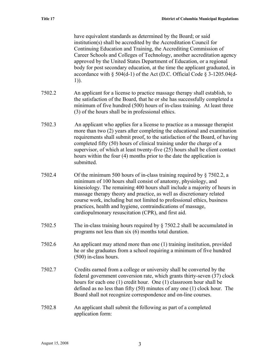have equivalent standards as determined by the Board; or said institution(s) shall be accredited by the Accreditation Council for Continuing Education and Training, the Accrediting Commission of Career Schools and Colleges of Technology, another accreditation agency approved by the United States Department of Education, or a regional body for post secondary education, at the time the applicant graduated, in accordance with § 504(d-1) of the Act (D.C. Official Code § 3-1205.04(d-1)).

- 7502.2 An applicant for a license to practice massage therapy shall establish, to the satisfaction of the Board, that he or she has successfully completed a minimum of five hundred (500) hours of in-class training. At least three (3) of the hours shall be in professional ethics.
- 7502.3 An applicant who applies for a license to practice as a massage therapist more than two (2) years after completing the educational and examination requirements shall submit proof, to the satisfaction of the Board, of having completed fifty (50) hours of clinical training under the charge of a supervisor, of which at least twenty-five (25) hours shall be client contact hours within the four (4) months prior to the date the application is submitted.
- 7502.4 Of the minimum 500 hours of in-class training required by § 7502.2, a minimum of 100 hours shall consist of anatomy, physiology, and kinesiology. The remaining 400 hours shall include a majority of hours in massage therapy theory and practice, as well as discretionary related course work, including but not limited to professional ethics, business practices, health and hygiene, contraindications of massage, cardiopulmonary resuscitation (CPR), and first aid.
- 7502.5 The in-class training hours required by § 7502.2 shall be accumulated in programs not less than six (6) months total duration.
- 7502.6 An applicant may attend more than one (1) training institution, provided he or she graduates from a school requiring a minimum of five hundred (500) in-class hours.
- 7502.7 Credits earned from a college or university shall be converted by the federal government conversion rate, which grants thirty-seven (37) clock hours for each one (1) credit hour. One (1) classroom hour shall be defined as no less than fifty (50) minutes of any one (1) clock hour. The Board shall not recognize correspondence and on-line courses.
- 7502.8 An applicant shall submit the following as part of a completed application form: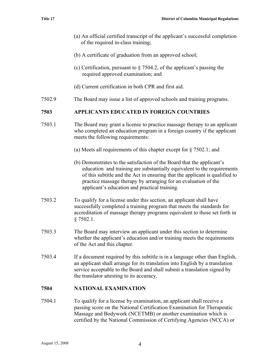- (a) An official certified transcript of the applicant's successful completion of the required in-class training;
- (b) A certificate of graduation from an approved school;
- (c) Certification, pursuant to § 7504.2, of the applicant's passing the required approved examination; and
- (d) Current certification in both CPR and first aid.
- 7502.9 The Board may issue a list of approved schools and training programs.

#### **7503 APPLICANTS EDUCATED IN FOREIGN COUNTRIES**

- 7503.1 The Board may grant a license to practice massage therapy to an applicant who completed an education program in a foreign country if the applicant meets the following requirements:
	- (a) Meets all requirements of this chapter except for § 7502.1; and
	- (b) Demonstrates to the satisfaction of the Board that the applicant's education and training are substantially equivalent to the requirements of this subtitle and the Act in ensuring that the applicant is qualified to practice massage therapy by arranging for an evaluation of the applicant's education and practical training.
- 7503.2 To qualify for a license under this section, an applicant shall have successfully completed a training program that meets the standards for accreditation of massage therapy programs equivalent to those set forth in § 7502.1.
- 7503.3 The Board may interview an applicant under this section to determine whether the applicant's education and/or training meets the requirements of the Act and this chapter.
- 7503.4 If a document required by this subtitle is in a language other than English, an applicant shall arrange for its translation into English by a translation service acceptable to the Board and shall submit a translation signed by the translator attesting to its accuracy.

#### **7504 NATIONAL EXAMINATION**

7504.1 To qualify for a license by examination, an applicant shall receive a passing score on the National Certification Examination for Therapeutic Massage and Bodywork (NCETMB) or another examination which is certified by the National Commission of Certifying Agencies (NCCA) or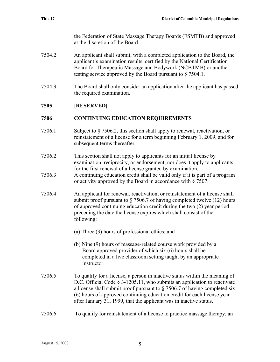the Federation of State Massage Therapy Boards (FSMTB) and approved at the discretion of the Board.

- 7504.2 An applicant shall submit, with a completed application to the Board, the applicant's examination results, certified by the National Certification Board for Therapeutic Massage and Bodywork (NCBTMB) or another testing service approved by the Board pursuant to § 7504.1.
- 7504.3 The Board shall only consider an application after the applicant has passed the required examination.

# **7505 [RESERVED]**

# **7506 CONTINUING EDUCATION REQUIREMENTS**

- 7506.1 Subject to § 7506.2, this section shall apply to renewal, reactivation, or reinstatement of a license for a term beginning February 1, 2009, and for subsequent terms thereafter.
- 7506.2 This section shall not apply to applicants for an initial license by examination, reciprocity, or endorsement, nor does it apply to applicants for the first renewal of a license granted by examination.
- 7506.3 A continuing education credit shall be valid only if it is part of a program or activity approved by the Board in accordance with § 7507.
- 7506.4 An applicant for renewal, reactivation, or reinstatement of a license shall submit proof pursuant to  $\S$  7506.7 of having completed twelve (12) hours of approved continuing education credit during the two (2) year period preceding the date the license expires which shall consist of the following:
	- (a) Three (3) hours of professional ethics; and
	- (b) Nine (9) hours of massage-related course work provided by a Board approved provider of which six (6) hours shall be completed in a live classroom setting taught by an appropriate instructor.
- 7506.5 To qualify for a license, a person in inactive status within the meaning of D.C. Official Code § 3-1205.11, who submits an application to reactivate a license shall submit proof pursuant to § 7506.7 of having completed six (6) hours of approved continuing education credit for each license year after January 31, 1999, that the applicant was in inactive status.

# 7506.6 To qualify for reinstatement of a license to practice massage therapy, an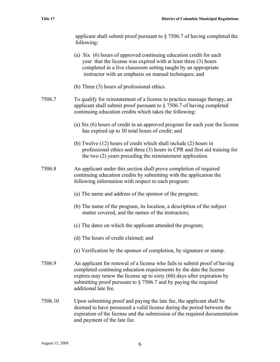|        | applicant shall submit proof pursuant to $\S$ 7506.7 of having completed the<br>following:                                                                                                                                                                       |
|--------|------------------------------------------------------------------------------------------------------------------------------------------------------------------------------------------------------------------------------------------------------------------|
|        | (a) Six (6) hours of approved continuing education credit for each<br>year that the license was expired with at least three (3) hours<br>completed in a live classroom setting taught by an appropriate<br>instructor with an emphasis on manual techniques; and |
|        | (b) Three (3) hours of professional ethics.                                                                                                                                                                                                                      |
| 7506.7 | To qualify for reinstatement of a license to practice massage therapy, an<br>applicant shall submit proof pursuant to $\S$ 7506.7 of having completed<br>continuing education credits which takes the following:                                                 |
|        | (a) Six (6) hours of credit in an approved program for each year the license<br>has expired up to 30 total hours of credit; and                                                                                                                                  |
|        | (b) Twelve $(12)$ hours of credit which shall include $(2)$ hours in<br>professional ethics and three (3) hours in CPR and first aid training for<br>the two (2) years preceding the reinstatement application.                                                  |
|        |                                                                                                                                                                                                                                                                  |

- 7506.8 An applicant under this section shall prove completion of required continuing education credits by submitting with the application the following information with respect to each program:
	- (a) The name and address of the sponsor of the program;
	- (b) The name of the program, its location, a description of the subject matter covered, and the names of the instructors;
	- (c) The dates on which the applicant attended the program;
	- (d) The hours of credit claimed; and
	- (e) Verification by the sponsor of completion, by signature or stamp.
- 7506.9 An applicant for renewal of a license who fails to submit proof of having completed continuing education requirements by the date the license expires may renew the license up to sixty (60) days after expiration by submitting proof pursuant to § 7506.7 and by paying the required additional late fee.
- 7506.10 Upon submitting proof and paying the late fee, the applicant shall be deemed to have possessed a valid license during the period between the expiration of the license and the submission of the required documentation and payment of the late fee.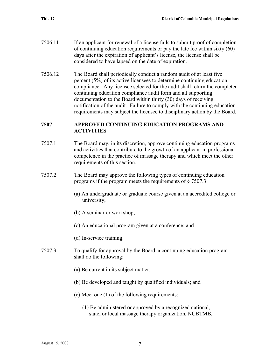- 7506.11 If an applicant for renewal of a license fails to submit proof of completion of continuing education requirements or pay the late fee within sixty (60) days after the expiration of applicant's license, the license shall be considered to have lapsed on the date of expiration.
- 7506.12 The Board shall periodically conduct a random audit of at least five percent (5%) of its active licensees to determine continuing education compliance. Any licensee selected for the audit shall return the completed continuing education compliance audit form and all supporting documentation to the Board within thirty (30) days of receiving notification of the audit. Failure to comply with the continuing education requirements may subject the licensee to disciplinary action by the Board.

#### **7507 APPROVED CONTINUING EDUCATION PROGRAMS AND ACTIVITIES**

- 7507.1 The Board may, in its discretion, approve continuing education programs and activities that contribute to the growth of an applicant in professional competence in the practice of massage therapy and which meet the other requirements of this section.
- 7507.2 The Board may approve the following types of continuing education programs if the program meets the requirements of § 7507.3:
	- (a) An undergraduate or graduate course given at an accredited college or university;
	- (b) A seminar or workshop;
	- (c) An educational program given at a conference; and
	- (d) In-service training.
- 7507.3 To qualify for approval by the Board, a continuing education program shall do the following:
	- (a) Be current in its subject matter;
	- (b) Be developed and taught by qualified individuals; and
	- (c) Meet one (1) of the following requirements:
		- (1) Be administered or approved by a recognized national, state, or local massage therapy organization, NCBTMB,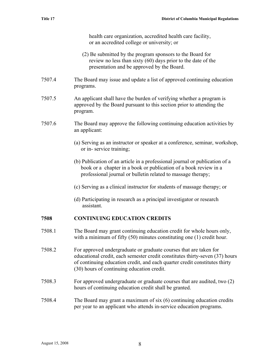health care organization, accredited health care facility, or an accredited college or university; or

- (2) Be submitted by the program sponsors to the Board for review no less than sixty (60) days prior to the date of the presentation and be approved by the Board.
- 7507.4 The Board may issue and update a list of approved continuing education programs.
- 7507.5 An applicant shall have the burden of verifying whether a program is approved by the Board pursuant to this section prior to attending the program.
- 7507.6 The Board may approve the following continuing education activities by an applicant:
	- (a) Serving as an instructor or speaker at a conference, seminar, workshop, or in- service training;
	- (b) Publication of an article in a professional journal or publication of a book or a chapter in a book or publication of a book review in a professional journal or bulletin related to massage therapy;
	- (c) Serving as a clinical instructor for students of massage therapy; or
	- (d) Participating in research as a principal investigator or research assistant.

## **7508 CONTINUING EDUCATION CREDITS**

- 7508.1 The Board may grant continuing education credit for whole hours only, with a minimum of fifty (50) minutes constituting one (1) credit hour.
- 7508.2 For approved undergraduate or graduate courses that are taken for educational credit, each semester credit constitutes thirty-seven (37) hours of continuing education credit, and each quarter credit constitutes thirty (30) hours of continuing education credit.
- 7508.3 For approved undergraduate or graduate courses that are audited, two (2) hours of continuing education credit shall be granted.
- 7508.4 The Board may grant a maximum of six (6) continuing education credits per year to an applicant who attends in-service education programs.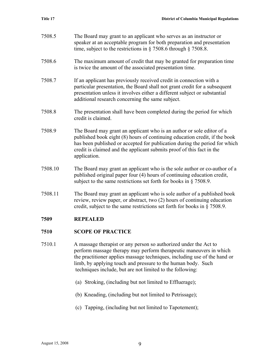- 7508.5 The Board may grant to an applicant who serves as an instructor or speaker at an acceptable program for both preparation and presentation time, subject to the restrictions in § 7508.6 through § 7508.8.
- 7508.6 The maximum amount of credit that may be granted for preparation time is twice the amount of the associated presentation time.
- 7508.7 If an applicant has previously received credit in connection with a particular presentation, the Board shall not grant credit for a subsequent presentation unless it involves either a different subject or substantial additional research concerning the same subject.
- 7508.8 The presentation shall have been completed during the period for which credit is claimed.
- 7508.9 The Board may grant an applicant who is an author or sole editor of a published book eight (8) hours of continuing education credit, if the book has been published or accepted for publication during the period for which credit is claimed and the applicant submits proof of this fact in the application.
- 7508.10 The Board may grant an applicant who is the sole author or co-author of a published original paper four (4) hours of continuing education credit, subject to the same restrictions set forth for books in § 7508.9.
- 7508.11 The Board may grant an applicant who is sole author of a published book review, review paper, or abstract, two (2) hours of continuing education credit, subject to the same restrictions set forth for books in § 7508.9.

## **7509 REPEALED**

## **7510 SCOPE OF PRACTICE**

- 7510.1 A massage therapist or any person so authorized under the Act to perform massage therapy may perform therapeutic maneuvers in which the practitioner applies massage techniques, including use of the hand or limb, by applying touch and pressure to the human body. Such techniques include, but are not limited to the following:
	- (a) Stroking, (including but not limited to Effluerage);
	- (b) Kneading, (including but not limited to Petrissage);
	- (c) Tapping, (including but not limited to Tapotement);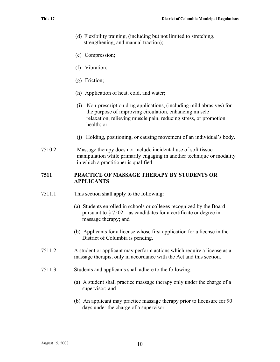- (d) Flexibility training, (including but not limited to stretching, strengthening, and manual traction);
- (e) Compression;
- (f) Vibration;
- (g) Friction;
- (h) Application of heat, cold, and water;
- (i) Non-prescription drug applications, (including mild abrasives) for the purpose of improving circulation, enhancing muscle relaxation, relieving muscle pain, reducing stress, or promotion health; or
- (j) Holding, positioning, or causing movement of an individual's body.
- 7510.2 Massage therapy does not include incidental use of soft tissue manipulation while primarily engaging in another technique or modality in which a practitioner is qualified.

#### **7511 PRACTICE OF MASSAGE THERAPY BY STUDENTS OR APPLICANTS**

- 7511.1 This section shall apply to the following:
	- (a) Students enrolled in schools or colleges recognized by the Board pursuant to § 7502.1 as candidates for a certificate or degree in massage therapy; and
	- (b) Applicants for a license whose first application for a license in the District of Columbia is pending.
- 7511.2 A student or applicant may perform actions which require a license as a massage therapist only in accordance with the Act and this section.
- 7511.3 Students and applicants shall adhere to the following:
	- (a) A student shall practice massage therapy only under the charge of a supervisor; and
	- (b) An applicant may practice massage therapy prior to licensure for 90 days under the charge of a supervisor.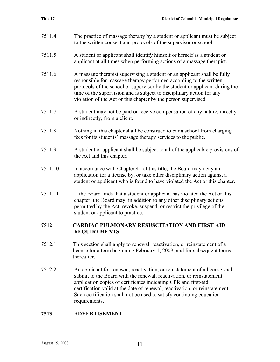- 7511.4 The practice of massage therapy by a student or applicant must be subject to the written consent and protocols of the supervisor or school.
- 7511.5 A student or applicant shall identify himself or herself as a student or applicant at all times when performing actions of a massage therapist.
- 7511.6 A massage therapist supervising a student or an applicant shall be fully responsible for massage therapy performed according to the written protocols of the school or supervisor by the student or applicant during the time of the supervision and is subject to disciplinary action for any violation of the Act or this chapter by the person supervised.
- 7511.7 A student may not be paid or receive compensation of any nature, directly or indirectly, from a client.
- 7511.8 Nothing in this chapter shall be construed to bar a school from charging fees for its students' massage therapy services to the public.
- 7511.9 A student or applicant shall be subject to all of the applicable provisions of the Act and this chapter.
- 7511.10 In accordance with Chapter 41 of this title, the Board may deny an application for a license by, or take other disciplinary action against a student or applicant who is found to have violated the Act or this chapter.
- 7511.11 If the Board finds that a student or applicant has violated the Act or this chapter, the Board may, in addition to any other disciplinary actions permitted by the Act, revoke, suspend, or restrict the privilege of the student or applicant to practice.

#### **7512 CARDIAC PULMONARY RESUSCITATION AND FIRST AID REQUIREMENTS**

- 7512.1 This section shall apply to renewal, reactivation, or reinstatement of a license for a term beginning February 1, 2009, and for subsequent terms thereafter.
- 7512.2 An applicant for renewal, reactivation, or reinstatement of a license shall submit to the Board with the renewal, reactivation, or reinstatement application copies of certificates indicating CPR and first-aid certification valid at the date of renewal, reactivation, or reinstatement. Such certification shall not be used to satisfy continuing education requirements.

## **7513 ADVERTISEMENT**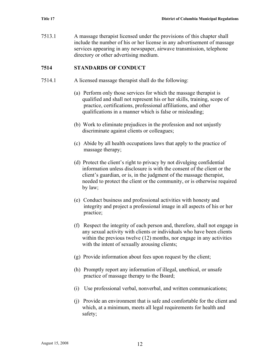7513.1 A massage therapist licensed under the provisions of this chapter shall include the number of his or her license in any advertisement of massage services appearing in any newspaper, airwave transmission, telephone directory or other advertising medium.

## **7514 STANDARDS OF CONDUCT**

- 7514.1 A licensed massage therapist shall do the following:
	- (a) Perform only those services for which the massage therapist is qualified and shall not represent his or her skills, training, scope of practice, certifications, professional affiliations, and other qualifications in a manner which is false or misleading;
	- (b) Work to eliminate prejudices in the profession and not unjustly discriminate against clients or colleagues;
	- (c) Abide by all health occupations laws that apply to the practice of massage therapy;
	- (d) Protect the client's right to privacy by not divulging confidential information unless disclosure is with the consent of the client or the client's guardian, or is, in the judgment of the massage therapist, needed to protect the client or the community, or is otherwise required by law;
	- (e) Conduct business and professional activities with honesty and integrity and project a professional image in all aspects of his or her practice;
	- (f) Respect the integrity of each person and, therefore, shall not engage in any sexual activity with clients or individuals who have been clients within the previous twelve (12) months, nor engage in any activities with the intent of sexually arousing clients;
	- (g) Provide information about fees upon request by the client;
	- (h) Promptly report any information of illegal, unethical, or unsafe practice of massage therapy to the Board;
	- (i) Use professional verbal, nonverbal, and written communications;
	- (j) Provide an environment that is safe and comfortable for the client and which, at a minimum, meets all legal requirements for health and safety;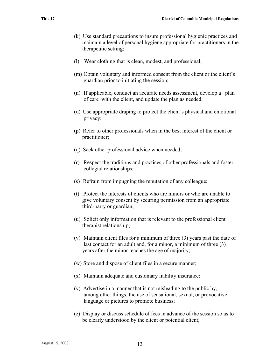- (k) Use standard precautions to insure professional hygienic practices and maintain a level of personal hygiene appropriate for practitioners in the therapeutic setting;
- (l) Wear clothing that is clean, modest, and professional;
- (m) Obtain voluntary and informed consent from the client or the client's guardian prior to initiating the session;
- (n) If applicable, conduct an accurate needs assessment, develop a plan of care with the client, and update the plan as needed;
- (o) Use appropriate draping to protect the client's physical and emotional privacy;
- (p) Refer to other professionals when in the best interest of the client or practitioner;
- (q) Seek other professional advice when needed;
- (r) Respect the traditions and practices of other professionals and foster collegial relationships;
- (s) Refrain from impugning the reputation of any colleague;
- (t) Protect the interests of clients who are minors or who are unable to give voluntary consent by securing permission from an appropriate third-party or guardian;
- (u) Solicit only information that is relevant to the professional client therapist relationship;
- (v) Maintain client files for a minimum of three (3) years past the date of last contact for an adult and, for a minor, a minimum of three (3) years after the minor reaches the age of majority;
- (w) Store and dispose of client files in a secure manner;
- (x) Maintain adequate and customary liability insurance;
- (y) Advertise in a manner that is not misleading to the public by, among other things, the use of sensational, sexual, or provocative language or pictures to promote business;
- (z) Display or discuss schedule of fees in advance of the session so as to be clearly understood by the client or potential client;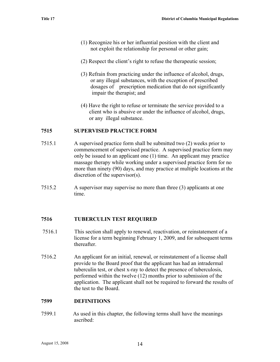- (1) Recognize his or her influential position with the client and not exploit the relationship for personal or other gain;
- (2) Respect the client's right to refuse the therapeutic session;
- (3) Refrain from practicing under the influence of alcohol, drugs, or any illegal substances, with the exception of prescribed dosages of prescription medication that do not significantly impair the therapist; and
- (4) Have the right to refuse or terminate the service provided to a client who is abusive or under the influence of alcohol, drugs, or any illegal substance.

## **7515 SUPERVISED PRACTICE FORM**

- 7515.1 A supervised practice form shall be submitted two (2) weeks prior to commencement of supervised practice. A supervised practice form may only be issued to an applicant one (1) time. An applicant may practice massage therapy while working under a supervised practice form for no more than ninety (90) days, and may practice at multiple locations at the discretion of the supervisor(s).
- 7515.2 A supervisor may supervise no more than three (3) applicants at one time.

# **7516 TUBERCULIN TEST REQUIRED**

- 7516.1 This section shall apply to renewal, reactivation, or reinstatement of a license for a term beginning February 1, 2009, and for subsequent terms thereafter.
- 7516.2 An applicant for an initial, renewal, or reinstatement of a license shall provide to the Board proof that the applicant has had an intradermal tuberculin test, or chest x-ray to detect the presence of tuberculosis, performed within the twelve (12) months prior to submission of the application. The applicant shall not be required to forward the results of the test to the Board.

## **7599 DEFINITIONS**

7599.1 As used in this chapter, the following terms shall have the meanings ascribed: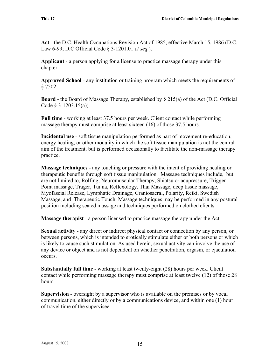**Act** - the D.C. Health Occupations Revision Act of 1985, effective March 15, 1986 (D.C. Law 6-99; D.C Official Code § 3-1201.01 *et seq.*).

**Applicant** - a person applying for a license to practice massage therapy under this chapter.

**Approved School** - any institution or training program which meets the requirements of § 7502.1.

**Board** - the Board of Massage Therapy, established by § 215(a) of the Act (D.C. Official Code § 3-1203.15(a)).

**Full time** - working at least 37.5 hours per week. Client contact while performing massage therapy must comprise at least sixteen (16) of those 37.5 hours.

**Incidental use** - soft tissue manipulation performed as part of movement re-education, energy healing, or other modality in which the soft tissue manipulation is not the central aim of the treatment, but is performed occasionally to facilitate the non-massage therapy practice.

**Massage techniques** - any touching or pressure with the intent of providing healing or therapeutic benefits through soft tissue manipulation. Massage techniques include, but are not limited to, Rolfing, Neuromuscular Therapy, Shiatsu or acupressure, Trigger Point massage, Trager, Tui na, Reflexology, Thai Massage, deep tissue massage, Myofascial Release, Lymphatic Drainage, Craniosacral, Polarity, Reiki, Swedish Massage, and Therapeutic Touch. Massage techniques may be performed in any postural position including seated massage and techniques performed on clothed clients.

**Massage therapist** - a person licensed to practice massage therapy under the Act.

**Sexual activity** - any direct or indirect physical contact or connection by any person, or between persons, which is intended to erotically stimulate either or both persons or which is likely to cause such stimulation. As used herein, sexual activity can involve the use of any device or object and is not dependent on whether penetration, orgasm, or ejaculation occurs.

**Substantially full time** - working at least twenty-eight (28) hours per week. Client contact while performing massage therapy must comprise at least twelve (12) of those 28 hours.

**Supervision** - oversight by a supervisor who is available on the premises or by vocal communication, either directly or by a communications device, and within one (1) hour of travel time of the supervisee.